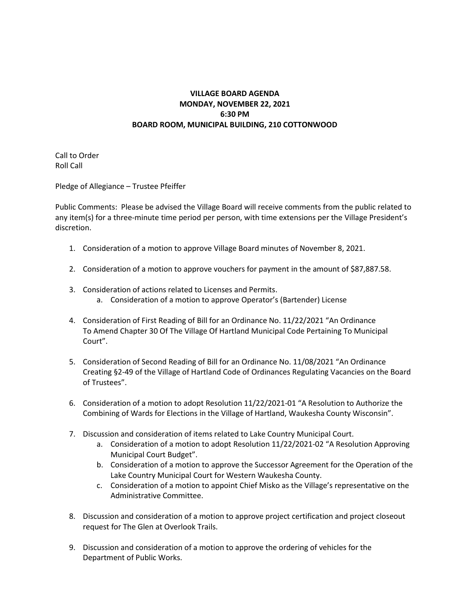## **VILLAGE BOARD AGENDA MONDAY, NOVEMBER 22, 2021 6:30 PM BOARD ROOM, MUNICIPAL BUILDING, 210 COTTONWOOD**

Call to Order Roll Call

Pledge of Allegiance – Trustee Pfeiffer

Public Comments: Please be advised the Village Board will receive comments from the public related to any item(s) for a three-minute time period per person, with time extensions per the Village President's discretion.

- 1. Consideration of a motion to approve Village Board minutes of November 8, 2021.
- 2. Consideration of a motion to approve vouchers for payment in the amount of \$87,887.58.
- 3. Consideration of actions related to Licenses and Permits.
	- a. Consideration of a motion to approve Operator's (Bartender) License
- 4. Consideration of First Reading of Bill for an Ordinance No. 11/22/2021 "An Ordinance To Amend Chapter 30 Of The Village Of Hartland Municipal Code Pertaining To Municipal Court".
- 5. Consideration of Second Reading of Bill for an Ordinance No. 11/08/2021 "An Ordinance Creating §2-49 of the Village of Hartland Code of Ordinances Regulating Vacancies on the Board of Trustees".
- 6. Consideration of a motion to adopt Resolution 11/22/2021-01 "A Resolution to Authorize the Combining of Wards for Elections in the Village of Hartland, Waukesha County Wisconsin".
- 7. Discussion and consideration of items related to Lake Country Municipal Court.
	- a. Consideration of a motion to adopt Resolution 11/22/2021-02 "A Resolution Approving Municipal Court Budget".
	- b. Consideration of a motion to approve the Successor Agreement for the Operation of the Lake Country Municipal Court for Western Waukesha County.
	- c. Consideration of a motion to appoint Chief Misko as the Village's representative on the Administrative Committee.
- 8. Discussion and consideration of a motion to approve project certification and project closeout request for The Glen at Overlook Trails.
- 9. Discussion and consideration of a motion to approve the ordering of vehicles for the Department of Public Works.